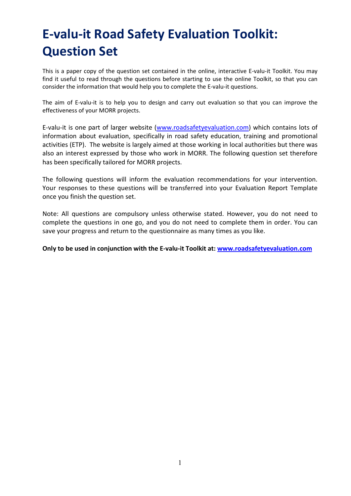## E-valu-it Road Safety Evaluation Toolkit: Question Set

This is a paper copy of the question set contained in the online, interactive E-valu-it Toolkit. You may find it useful to read through the questions before starting to use the online Toolkit, so that you can consider the information that would help you to complete the E-valu-it questions.

The aim of E-valu-it is to help you to design and carry out evaluation so that you can improve the effectiveness of your MORR projects.

E-valu-it is one part of larger website (www.roadsafetyevaluation.com) which contains lots of information about evaluation, specifically in road safety education, training and promotional activities (ETP). The website is largely aimed at those working in local authorities but there was also an interest expressed by those who work in MORR. The following question set therefore has been specifically tailored for MORR projects.

The following questions will inform the evaluation recommendations for your intervention. Your responses to these questions will be transferred into your Evaluation Report Template once you finish the question set.

Note: All questions are compulsory unless otherwise stated. However, you do not need to complete the questions in one go, and you do not need to complete them in order. You can save your progress and return to the questionnaire as many times as you like.

Only to be used in conjunction with the E-valu-it Toolkit at: www.roadsafetyevaluation.com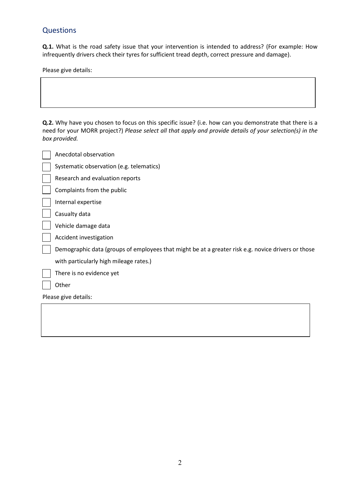## **Questions**

Q.1. What is the road safety issue that your intervention is intended to address? (For example: How infrequently drivers check their tyres for sufficient tread depth, correct pressure and damage).

Please give details:

Q.2. Why have you chosen to focus on this specific issue? (i.e. how can you demonstrate that there is a need for your MORR project?) Please select all that apply and provide details of your selection(s) in the box provided.

|                      | Anecdotal observation                                                                              |  |
|----------------------|----------------------------------------------------------------------------------------------------|--|
|                      | Systematic observation (e.g. telematics)                                                           |  |
|                      | Research and evaluation reports                                                                    |  |
|                      | Complaints from the public                                                                         |  |
|                      | Internal expertise                                                                                 |  |
|                      | Casualty data                                                                                      |  |
|                      | Vehicle damage data                                                                                |  |
|                      | Accident investigation                                                                             |  |
|                      | Demographic data (groups of employees that might be at a greater risk e.g. novice drivers or those |  |
|                      | with particularly high mileage rates.)                                                             |  |
|                      | There is no evidence yet                                                                           |  |
|                      | Other                                                                                              |  |
| Please give details: |                                                                                                    |  |
|                      |                                                                                                    |  |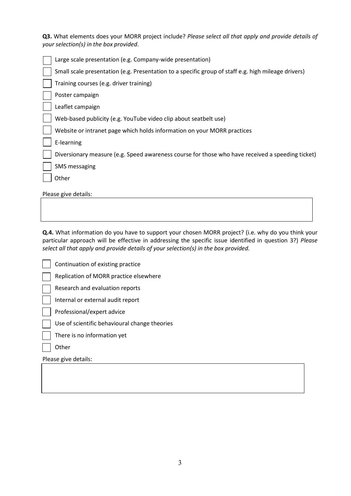Q3. What elements does your MORR project include? Please select all that apply and provide details of your selection(s) in the box provided.

| Large scale presentation (e.g. Company-wide presentation)                                           |  |  |
|-----------------------------------------------------------------------------------------------------|--|--|
| Small scale presentation (e.g. Presentation to a specific group of staff e.g. high mileage drivers) |  |  |
| Training courses (e.g. driver training)                                                             |  |  |
| Poster campaign                                                                                     |  |  |
| Leaflet campaign                                                                                    |  |  |
| Web-based publicity (e.g. YouTube video clip about seatbelt use)                                    |  |  |
| Website or intranet page which holds information on your MORR practices                             |  |  |
| E-learning                                                                                          |  |  |
| Diversionary measure (e.g. Speed awareness course for those who have received a speeding ticket)    |  |  |
| <b>SMS</b> messaging                                                                                |  |  |
| Other                                                                                               |  |  |
| Please give details:                                                                                |  |  |
|                                                                                                     |  |  |

Q.4. What information do you have to support your chosen MORR project? (i.e. why do you think your particular approach will be effective in addressing the specific issue identified in question 3?) Please select all that apply and provide details of your selection(s) in the box provided.

|                      | Continuation of existing practice             |  |
|----------------------|-----------------------------------------------|--|
|                      | Replication of MORR practice elsewhere        |  |
|                      | Research and evaluation reports               |  |
|                      | Internal or external audit report             |  |
|                      | Professional/expert advice                    |  |
|                      | Use of scientific behavioural change theories |  |
|                      | There is no information yet                   |  |
|                      | Other                                         |  |
| Please give details: |                                               |  |
|                      |                                               |  |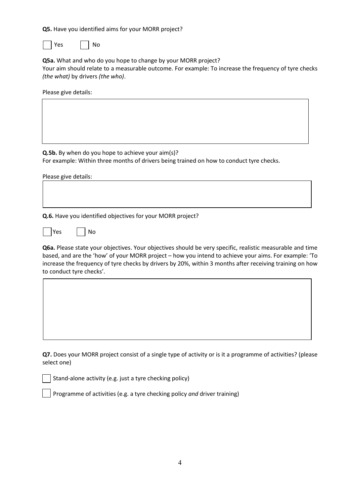Q5. Have you identified aims for your MORR project?

 $Yes$  | | No

Q5a. What and who do you hope to change by your MORR project?

Your aim should relate to a measurable outcome. For example: To increase the frequency of tyre checks (the what) by drivers (the who).

Please give details:

Q.5b. By when do you hope to achieve your aim(s)?

For example: Within three months of drivers being trained on how to conduct tyre checks.

Please give details:

Q.6. Have you identified objectives for your MORR project?

 $Yes$   $|No|$ 

Q6a. Please state your objectives. Your objectives should be very specific, realistic measurable and time based, and are the 'how' of your MORR project – how you intend to achieve your aims. For example: 'To increase the frequency of tyre checks by drivers by 20%, within 3 months after receiving training on how to conduct tyre checks'.

Q7. Does your MORR project consist of a single type of activity or is it a programme of activities? (please select one)

Stand-alone activity (e.g. just a tyre checking policy)

Programme of activities (e.g. a tyre checking policy and driver training)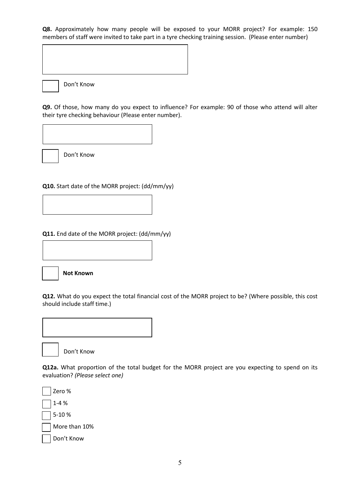Q8. Approximately how many people will be exposed to your MORR project? For example: 150 members of staff were invited to take part in a tyre checking training session. (Please enter number)

Don't Know

Don't Know

Q9. Of those, how many do you expect to influence? For example: 90 of those who attend will alter their tyre checking behaviour (Please enter number).

Don't Know

Q10. Start date of the MORR project: (dd/mm/yy)

Q11. End date of the MORR project: (dd/mm/yy)



should include staff time.)

Q12. What do you expect the total financial cost of the MORR project to be? (Where possible, this cost



Don't Know

Q12a. What proportion of the total budget for the MORR project are you expecting to spend on its evaluation? (Please select one)

Zero % 1-4 % 5-10 % More than 10% Don't Know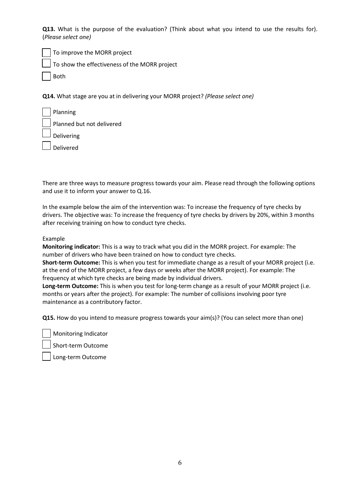Q13. What is the purpose of the evaluation? (Think about what you intend to use the results for). (Please select one)

To improve the MORR project

To show the effectiveness of the MORR project

Both

Q14. What stage are you at in delivering your MORR project? (Please select one)

| Planning                  |
|---------------------------|
| Planned but not delivered |
| Delivering                |
| Delivered                 |

There are three ways to measure progress towards your aim. Please read through the following options and use it to inform your answer to Q.16.

In the example below the aim of the intervention was: To increase the frequency of tyre checks by drivers. The objective was: To increase the frequency of tyre checks by drivers by 20%, within 3 months after receiving training on how to conduct tyre checks.

## Example

Monitoring indicator: This is a way to track what you did in the MORR project. For example: The number of drivers who have been trained on how to conduct tyre checks.

Short-term Outcome: This is when you test for immediate change as a result of your MORR project (i.e. at the end of the MORR project, a few days or weeks after the MORR project). For example: The frequency at which tyre checks are being made by individual drivers.

Long-term Outcome: This is when you test for long-term change as a result of your MORR project (i.e. months or years after the project). For example: The number of collisions involving poor tyre maintenance as a contributory factor.

Q15. How do you intend to measure progress towards your aim(s)? (You can select more than one)

Monitoring Indicator

Short-term Outcome

Long-term Outcome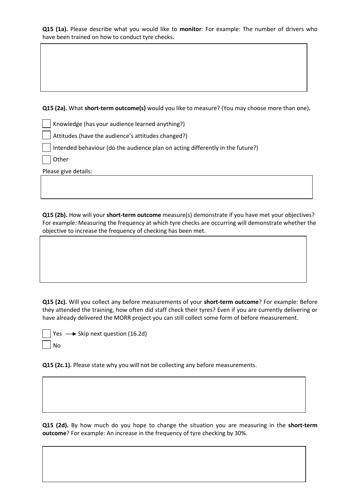Q15 (1a). Please describe what you would like to monitor: For example: The number of drivers who have been trained on how to conduct tyre checks.

Q15 (2a). What short-term outcome(s) would you like to measure? (You may choose more than one).

Knowledge (has your audience learned anything?)

Attitudes (have the audience's attitudes changed?)

Intended behaviour (do the audience plan on acting differently in the future?)

**Other** 

Please give details:

Q15 (2b). How will your short-term outcome measure(s) demonstrate if you have met your objectives? For example: Measuring the frequency at which tyre checks are occurring will demonstrate whether the objective to increase the frequency of checking has been met.

Q15 (2c). Will you collect any before measurements of your short-term outcome? For example: Before they attended the training, how often did staff check their tyres? Even if you are currently delivering or have already delivered the MORR project you can still collect some form of before measurement.

| Yes $\longrightarrow$ Skip next question (16.2d) |
|--------------------------------------------------|
| $\overline{\phantom{a}}$ No                      |

Q15 (2c.1). Please state why you will not be collecting any before measurements.

Q15 (2d). By how much do you hope to change the situation you are measuring in the short-term outcome? For example: An increase in the frequency of tyre checking by 30%.